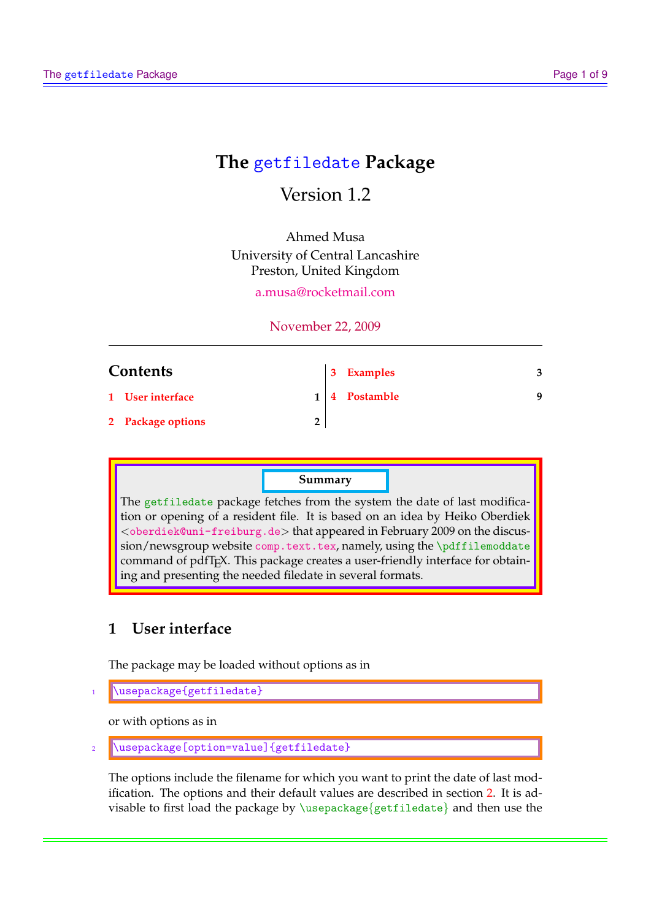# **The** getfiledate **Package**

# Version 1.2

Ahmed Musa University of Central Lancashire Preston, United Kingdom

[a.musa@rocketmail.com](mailto:a.musa@rocketmail.com)

## November 22, 2009

| <b>Contents</b> |                   |  | 3 Examples        | 3 |
|-----------------|-------------------|--|-------------------|---|
|                 | 1 User interface  |  | $1   4$ Postamble | Q |
|                 | 2 Package options |  |                   |   |

## **Summary**

The getfiledate package fetches from the system the date of last modification or opening of a resident file. It is based on an idea by Heiko Oberdiek <<oberdiek@uni-freiburg.de>> that appeared in February 2009 on the discussion/newsgroup website <comp.text.tex>, namely, using the \pdffilemoddate command of pdfT<sub>F</sub>X. This package creates a user-friendly interface for obtaining and presenting the needed filedate in several formats.

## **1 User interface**

The package may be loaded without options as in

```
\usepackage{getfiledate}
```
or with options as in

```
\langleusepackage[option=value]{getfiledate}
```
The options include the filename for which you want to print the date of last modification. The options and their default values are described in section [2.](#page-1-0) It is advisable to first load the package by  $\usepackage{getfiledate}$  and then use the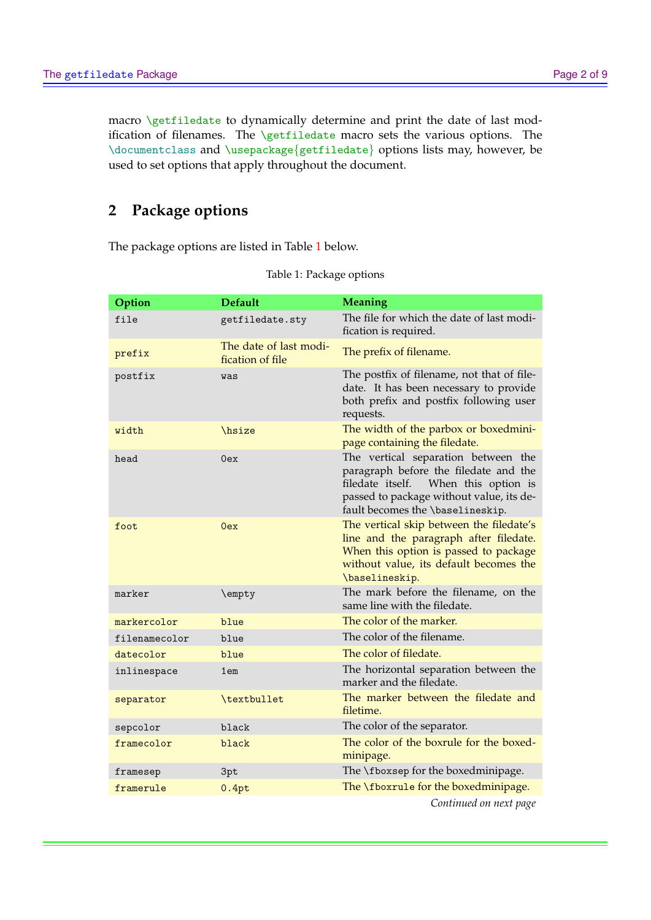<span id="page-1-0"></span>macro \getfiledate to dynamically determine and print the date of last modification of filenames. The \getfiledate macro sets the various options. The \documentclass and \usepackage{getfiledate} options lists may, however, be used to set options that apply throughout the document.

## **2 Package options**

The package options are listed in Table 1 below.

| Option        | <b>Default</b>                             | <b>Meaning</b>                                                                                                                                                                                          |
|---------------|--------------------------------------------|---------------------------------------------------------------------------------------------------------------------------------------------------------------------------------------------------------|
| file          | getfiledate.sty                            | The file for which the date of last modi-<br>fication is required.                                                                                                                                      |
| prefix        | The date of last modi-<br>fication of file | The prefix of filename.                                                                                                                                                                                 |
| postfix       | was                                        | The postfix of filename, not that of file-<br>date. It has been necessary to provide<br>both prefix and postfix following user<br>requests.                                                             |
| width         | hsize                                      | The width of the parbox or boxedmini-<br>page containing the filedate.                                                                                                                                  |
| head          | 0ex                                        | The vertical separation between the<br>paragraph before the filedate and the<br>filedate itself.<br>When this option is<br>passed to package without value, its de-<br>fault becomes the \baselineskip. |
| foot          | 0ex                                        | The vertical skip between the filedate's<br>line and the paragraph after filedate.<br>When this option is passed to package<br>without value, its default becomes the<br>\baselineskip.                 |
| marker        | \empty                                     | The mark before the filename, on the<br>same line with the filedate.                                                                                                                                    |
| markercolor   | blue                                       | The color of the marker.                                                                                                                                                                                |
| filenamecolor | blue                                       | The color of the filename.                                                                                                                                                                              |
| datecolor     | blue                                       | The color of filedate.                                                                                                                                                                                  |
| inlinespace   | 1em                                        | The horizontal separation between the<br>marker and the filedate.                                                                                                                                       |
| separator     | \textbullet                                | The marker between the filedate and<br>filetime.                                                                                                                                                        |
| sepcolor      | black                                      | The color of the separator.                                                                                                                                                                             |
| framecolor    | black                                      | The color of the boxrule for the boxed-<br>minipage.                                                                                                                                                    |
| framesep      | 3pt                                        | The \fboxsep for the boxedminipage.                                                                                                                                                                     |
| framerule     | 0.4pt                                      | The \fboxru1e for the boxedminipage.                                                                                                                                                                    |
|               |                                            | Continued on next page                                                                                                                                                                                  |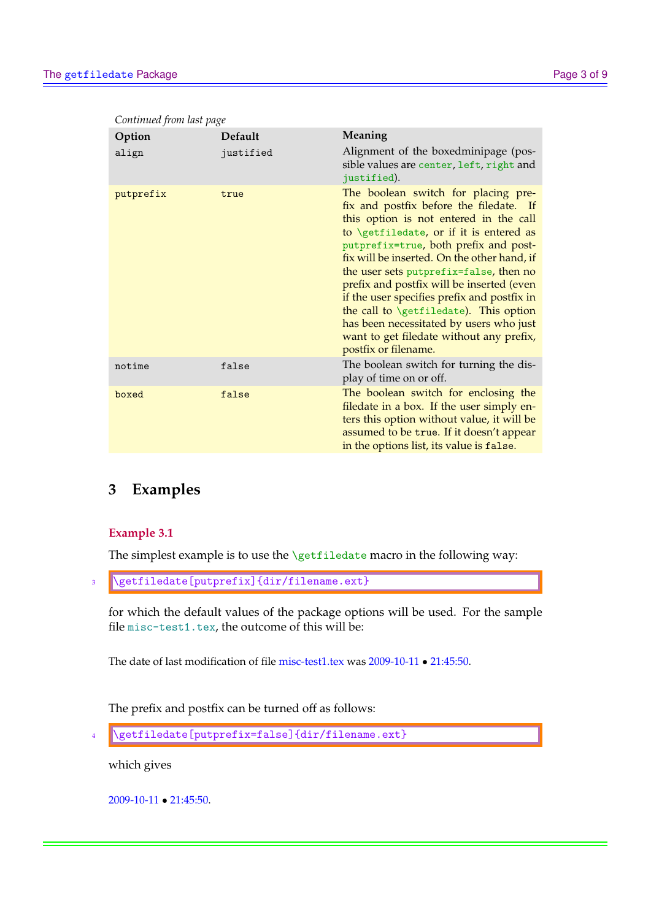| $\epsilon$ . There is no the page<br>Option | Default   | Meaning                                                                                                                                                                                                                                                                                                                                                                                                                                                                                                                                                                          |
|---------------------------------------------|-----------|----------------------------------------------------------------------------------------------------------------------------------------------------------------------------------------------------------------------------------------------------------------------------------------------------------------------------------------------------------------------------------------------------------------------------------------------------------------------------------------------------------------------------------------------------------------------------------|
| align                                       | justified | Alignment of the boxedminipage (pos-<br>sible values are center, left, right and<br>justified).                                                                                                                                                                                                                                                                                                                                                                                                                                                                                  |
| putprefix                                   | true      | The boolean switch for placing pre-<br>fix and postfix before the filedate. If<br>this option is not entered in the call<br>to $\setminus$ getfiledate, or if it is entered as<br>putprefix=true, both prefix and post-<br>fix will be inserted. On the other hand, if<br>the user sets putprefix=false, then no<br>prefix and postfix will be inserted (even<br>if the user specifies prefix and postfix in<br>the call to $\setminus$ getfiledate). This option<br>has been necessitated by users who just<br>want to get filedate without any prefix,<br>postfix or filename. |
| notime                                      | false     | The boolean switch for turning the dis-<br>play of time on or off.                                                                                                                                                                                                                                                                                                                                                                                                                                                                                                               |
| boxed                                       | false     | The boolean switch for enclosing the<br>filedate in a box. If the user simply en-<br>ters this option without value, it will be<br>assumed to be true. If it doesn't appear<br>in the options list, its value is false.                                                                                                                                                                                                                                                                                                                                                          |

#### <span id="page-2-0"></span>*Continued from last page*

## **3 Examples**

### **Example 3.1**

The simplest example is to use the \getfiledate macro in the following way:

\getfiledate[putprefix]{dir/filename.ext}

for which the default values of the package options will be used. For the sample file misc-test1.tex, the outcome of this will be:

The date of last modification of file misc-test1.tex was 2009-10-11 • 21:45:50.

The prefix and postfix can be turned off as follows:

```
\sqrt{\text{getfiledate}[\text{putprefix=false}]{\text{dir/filename.ext}}}
```
which gives

2009-10-11 • 21:45:50.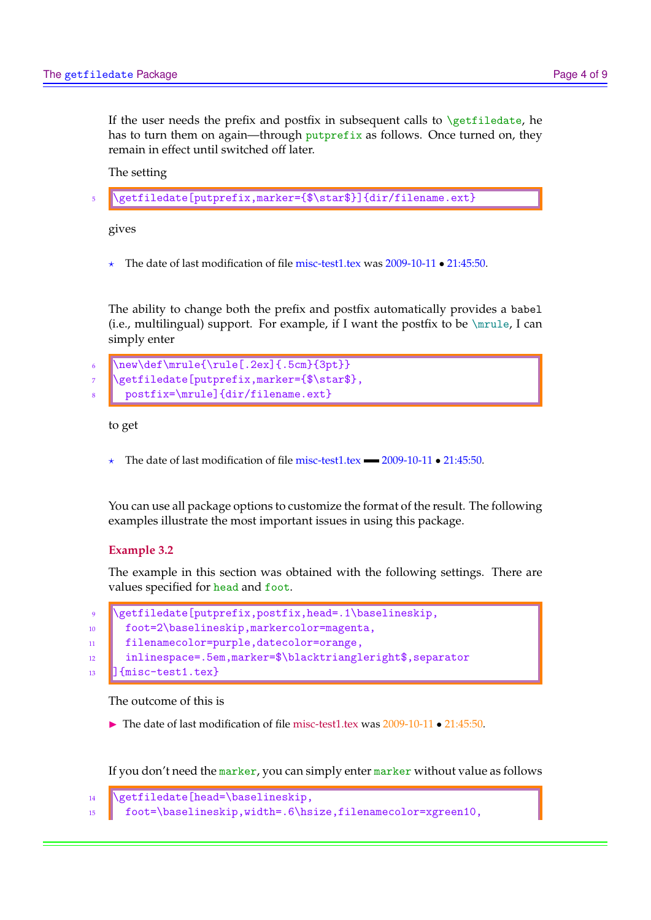If the user needs the prefix and postfix in subsequent calls to  $\get$ iledate, he has to turn them on again—through putprefix as follows. Once turned on, they remain in effect until switched off later.

The setting

\getfiledate[putprefix,marker={\$\star\$}]{dir/filename.ext}

gives

? The date of last modification of file misc-test1.tex was 2009-10-11 • 21:45:50.

The ability to change both the prefix and postfix automatically provides a babel (i.e., multilingual) support. For example, if I want the postfix to be  $\langle \text{mrule}, \text{I can} \rangle$ simply enter

```
\new\def\mrule{\rule[.2ex]{.5cm}{3pt}}
\getfiledate[putprefix,marker={$\star$},
  8 postfix=\mrule]{dir/filename.ext}
```
to get

 $\star$  The date of last modification of file misc-test1.tex  $\text{2009-10-11} \cdot 21:45:50$ .

You can use all package options to customize the format of the result. The following examples illustrate the most important issues in using this package.

#### **Example 3.2**

The example in this section was obtained with the following settings. There are values specified for head and foot.

|         | 9   \getfiledate[putprefix,postfix,head=.1\baselineskip,    |
|---------|-------------------------------------------------------------|
| $10-10$ | foot=2\baselineskip, markercolor=magenta,                   |
| 11      | filenamecolor=purple,datecolor=orange,                      |
| 12      | inlinespace=.5em, marker=\$\blacktriangleright\$, separator |
|         | $\Box$ {misc-test1.tex}                                     |

The outcome of this is

 $\triangleright$  The date of last modification of file misc-test1.tex was 2009-10-11 • 21:45:50.

If you don't need the marker, you can simply enter marker without value as follows

```
_{14} \getfiledate[head=\baselineskip,
15 foot=\baselineskip,width=.6\hsize,filenamecolor=xgreen10,
```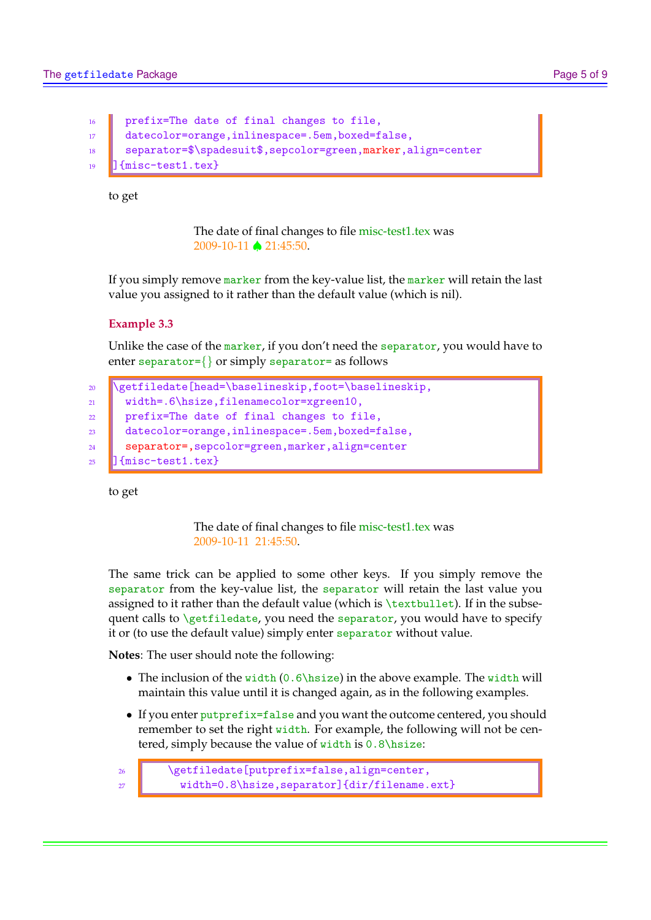```
16 prefix=The date of final changes to file,
17 datecolor=orange, inlinespace=.5em, boxed=false,
18 separator=$\spadesuit$,sepcolor=green,marker,align=center
19 ] {misc-test1.tex}
```
to get

The date of final changes to file misc-test1.tex was 2009-10-11 ♠ 21:45:50.

If you simply remove marker from the key-value list, the marker will retain the last value you assigned to it rather than the default value (which is nil).

## **Example 3.3**

Unlike the case of the marker, if you don't need the separator, you would have to enter separator={} or simply separator= as follows

```
20 \getfiledate[head=\baselineskip,foot=\baselineskip,
21 Width=.6\hsize,filenamecolor=xgreen10,
22 prefix=The date of final changes to file,
23 datecolor=orange,inlinespace=.5em,boxed=false,
24 separator=,sepcolor=green,marker,align=center
_{25} ] {misc-test1.tex}
```
to get

The date of final changes to file misc-test1.tex was 2009-10-11 21:45:50.

The same trick can be applied to some other keys. If you simply remove the separator from the key-value list, the separator will retain the last value you assigned to it rather than the default value (which is  $\text{bullet}$ ). If in the subsequent calls to  $\sqrt{\text{getfiledate}}$ , you need the separator, you would have to specify it or (to use the default value) simply enter separator without value.

**Notes**: The user should note the following:

- The inclusion of the width  $(0.6\hbox{hsize})$  in the above example. The width will maintain this value until it is changed again, as in the following examples.
- If you enter putprefix=false and you want the outcome centered, you should remember to set the right width. For example, the following will not be centered, simply because the value of width is  $0.8$ \hsize:

```
26 \getfiledate[putprefix=false,align=center,
27 Width=0.8\hsize,separator]{dir/filename.ext}
```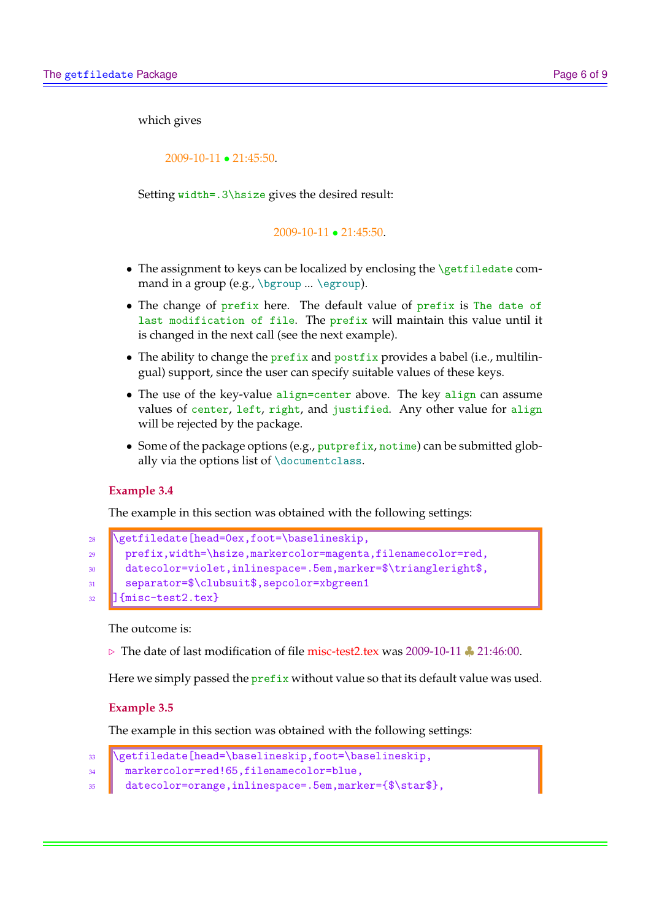which gives

2009-10-11 • 21:45:50.

Setting width=.3\hsize gives the desired result:

2009-10-11 • 21:45:50.

- The assignment to keys can be localized by enclosing the \getfiledate command in a group (e.g., \bgroup ... \egroup).
- The change of prefix here. The default value of prefix is The date of last modification of file. The prefix will maintain this value until it is changed in the next call (see the next example).
- The ability to change the prefix and postfix provides a babel (i.e., multilingual) support, since the user can specify suitable values of these keys.
- The use of the key-value align=center above. The key align can assume values of center, left, right, and justified. Any other value for align will be rejected by the package.
- Some of the package options (e.g., putprefix, notime) can be submitted globally via the options list of \documentclass.

#### **Example 3.4**

The example in this section was obtained with the following settings:

```
28 \getfiledate[head=0ex,foot=\baselineskip,
29 prefix,width=\hsize,markercolor=magenta,filenamecolor=red,
30 datecolor=violet,inlinespace=.5em,marker=$\triangleright$,
31 separator=$\clubsuit$,sepcolor=xbgreen1
32 ] {misc-test2.tex}
```
The outcome is:

. The date of last modification of file misc-test2.tex was 2009-10-11 ♣ 21:46:00.

Here we simply passed the *prefix* without value so that its default value was used.

#### **Example 3.5**

The example in this section was obtained with the following settings:

```
33 | \getfiledate[head=\baselineskip,foot=\baselineskip,
```

```
34 markercolor=red!65,filenamecolor=blue,
```

```
35 datecolor=orange,inlinespace=.5em,marker={$\star$},
```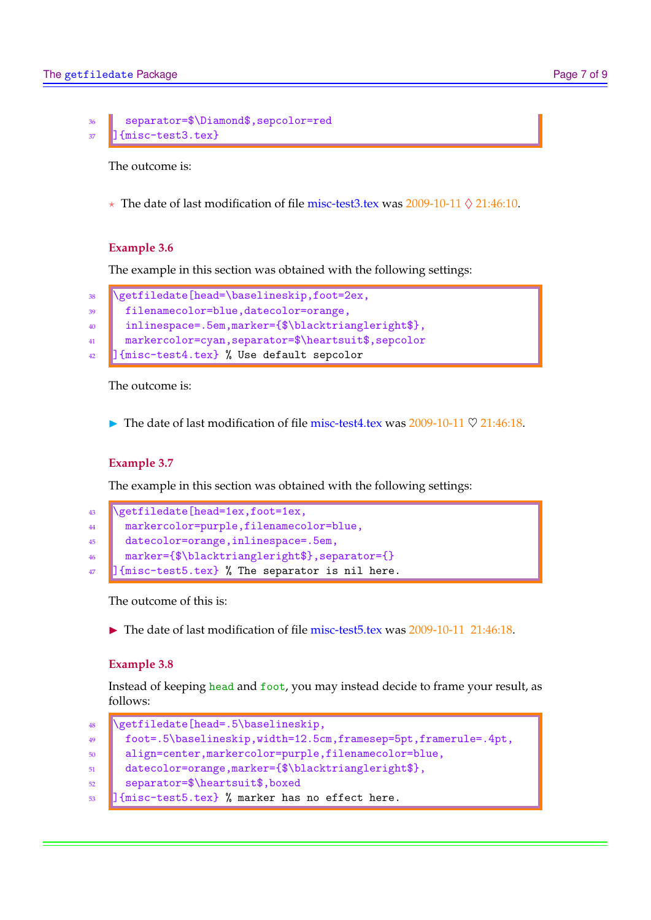```
36 separator=$\Diamond$,sepcolor=red
37 J{misc-test3.tex}
```
The outcome is:

 $\star$  The date of last modification of file misc-test3.tex was 2009-10-11  $\Diamond$  21:46:10.

## **Example 3.6**

The example in this section was obtained with the following settings:

```
38 \getfiledate[head=\baselineskip,foot=2ex,
39 filenamecolor=blue,datecolor=orange,
40 inlinespace=.5em,marker={$\blacktriangleright$},
41 markercolor=cyan,separator=$\heartsuit$,sepcolor
42 J{misc-test4.tex} % Use default sepcolor
```
The outcome is:

The date of last modification of file misc-test4.tex was  $2009-10-11 \nabla 21:46:18$ .

## **Example 3.7**

The example in this section was obtained with the following settings:

```
43 Netilledate [head=1ex,foot=1ex,
44 markercolor=purple,filenamecolor=blue,
45 datecolor=orange,inlinespace=.5em,
46 marker={$\blacktriangleright$},separator={}
47 ] {misc-test5.tex} % The separator is nil here.
```
The outcome of this is:

 $\triangleright$  The date of last modification of file misc-test5.tex was 2009-10-11 21:46:18.

## **Example 3.8**

Instead of keeping head and foot, you may instead decide to frame your result, as follows:

```
48 \sqrt{\text{getfiledate}[\text{head} = .5\baselineskip, ]}49 foot=.5\baselineskip,width=12.5cm,framesep=5pt,framerule=.4pt,
50 align=center,markercolor=purple,filenamecolor=blue,
51 datecolor=orange,marker={$\blacktriangleright$},
52 separator=$\heartsuit$,boxed
_{53} ] {misc-test5.tex} % marker has no effect here.
```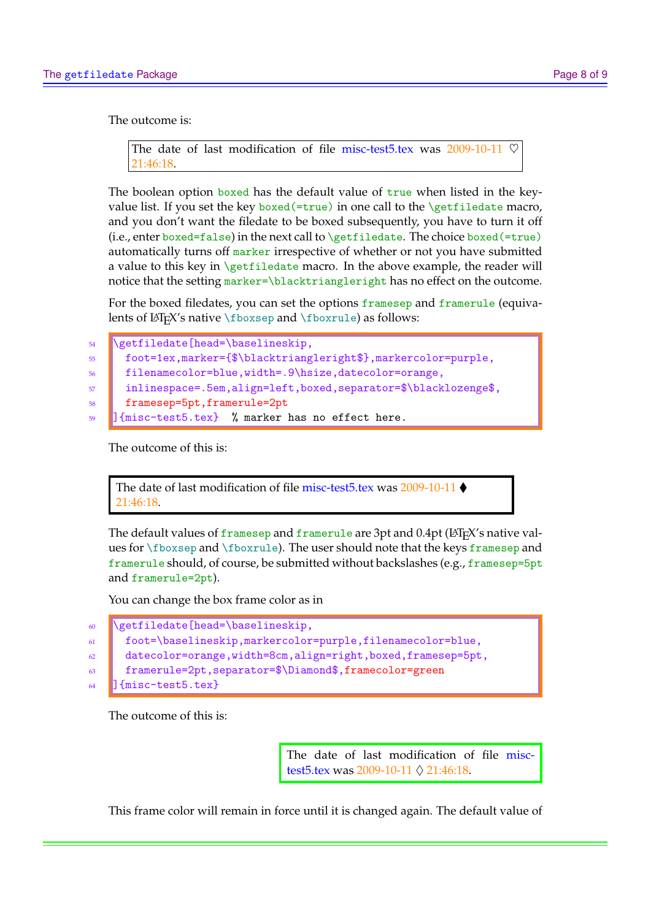The outcome is:

```
The date of last modification of file misc-test5.tex was 2009-10-11
21:46:18.
```
The boolean option boxed has the default value of true when listed in the keyvalue list. If you set the key boxed  $(=\text{true})$  in one call to the  $\getifiedate$  macro, and you don't want the filedate to be boxed subsequently, you have to turn it off (i.e., enter boxed=false) in the next call to  $\getfiledate$ . The choice boxed (=true) automatically turns off marker irrespective of whether or not you have submitted a value to this key in  $\get$ iledate macro. In the above example, the reader will notice that the setting marker=\blacktriangleright has no effect on the outcome.

For the boxed filedates, you can set the options framesep and framerule (equivalents of  $\langle$ FIFX's native \fboxsep and \fboxrule) as follows:

```
54 \text{Vert} \text{head} \text{base} \text{in}55 foot=1ex,marker={$\blacktriangleright$},markercolor=purple,
     56 filenamecolor=blue,width=.9\hsize,datecolor=orange,
57 inlinespace=.5em,align=left,boxed,separator=$\blacklozenge$,
58 framesep=5pt,framerule=2pt
59 ] {misc-test5.tex} % marker has no effect here.
```
The outcome of this is:

The date of last modification of file misc-test5.tex was 2009-10-11 ♦ 21:46:18.

The default values of framesep and framerule are 3pt and 0.4pt (LATEX's native values for \fboxsep and \fboxrule). The user should note that the keys framesep and framerule should, of course, be submitted without backslashes (e.g., framesep=5pt and framerule=2pt).

You can change the box frame color as in

```
60 \ead=\baselineskip,
61 foot=\baselineskip,markercolor=purple,filenamecolor=blue,
62 datecolor=orange,width=8cm,align=right,boxed,framesep=5pt,
63 framerule=2pt,separator=$\Diamond$,framecolor=green
64 ] {misc-test5.tex}
```
The outcome of this is:

The date of last modification of file misctest5.tex was 2009-10-11  $\Diamond$  21:46:18.

This frame color will remain in force until it is changed again. The default value of